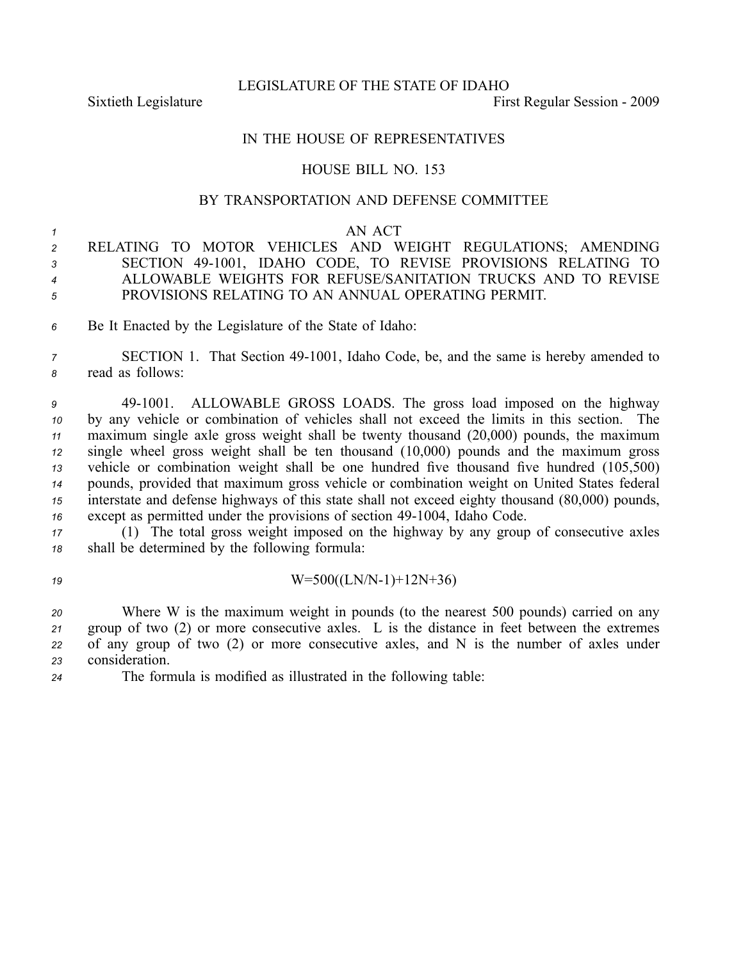LEGISLATURE OF THE STATE OF IDAHO

Sixtieth Legislature **First** Regular Session - 2009

## IN THE HOUSE OF REPRESENTATIVES

## HOUSE BILL NO. 153

## BY TRANSPORTATION AND DEFENSE COMMITTEE

## *<sup>1</sup>* AN ACT

- *<sup>2</sup>* RELATING TO MOTOR VEHICLES AND WEIGHT REGULATIONS; AMENDING *<sup>3</sup>* SECTION 491001, IDAHO CODE, TO REVISE PROVISIONS RELATING TO *<sup>4</sup>* ALLOWABLE WEIGHTS FOR REFUSE/SANITATION TRUCKS AND TO REVISE *<sup>5</sup>* PROVISIONS RELATING TO AN ANNUAL OPERATING PERMIT.
- *<sup>6</sup>* Be It Enacted by the Legislature of the State of Idaho:

*<sup>7</sup>* SECTION 1. That Section 491001, Idaho Code, be, and the same is hereby amended to *<sup>8</sup>* read as follows:

 491001. ALLOWABLE GROSS LOADS. The gross load imposed on the highway by any vehicle or combination of vehicles shall not exceed the limits in this section. The maximum single axle gross weight shall be twenty thousand (20,000) pounds, the maximum single wheel gross weight shall be ten thousand (10,000) pounds and the maximum gross vehicle or combination weight shall be one hundred five thousand five hundred (105,500) pounds, provided that maximum gross vehicle or combination weight on United States federal interstate and defense highways of this state shall not exceed eighty thousand (80,000) pounds, except as permitted under the provisions of section 49-1004, Idaho Code.

*<sup>17</sup>* (1) The total gross weight imposed on the highway by any group of consecutive axles *<sup>18</sup>* shall be determined by the following formula:

*19* W=500((LN/N-1)+12N+36)

 Where W is the maximum weight in pounds (to the nearest 500 pounds) carried on any group of two (2) or more consecutive axles. L is the distance in feet between the extremes of any group of two (2) or more consecutive axles, and N is the number of axles under consideration.

*<sup>24</sup>* The formula is modified as illustrated in the following table: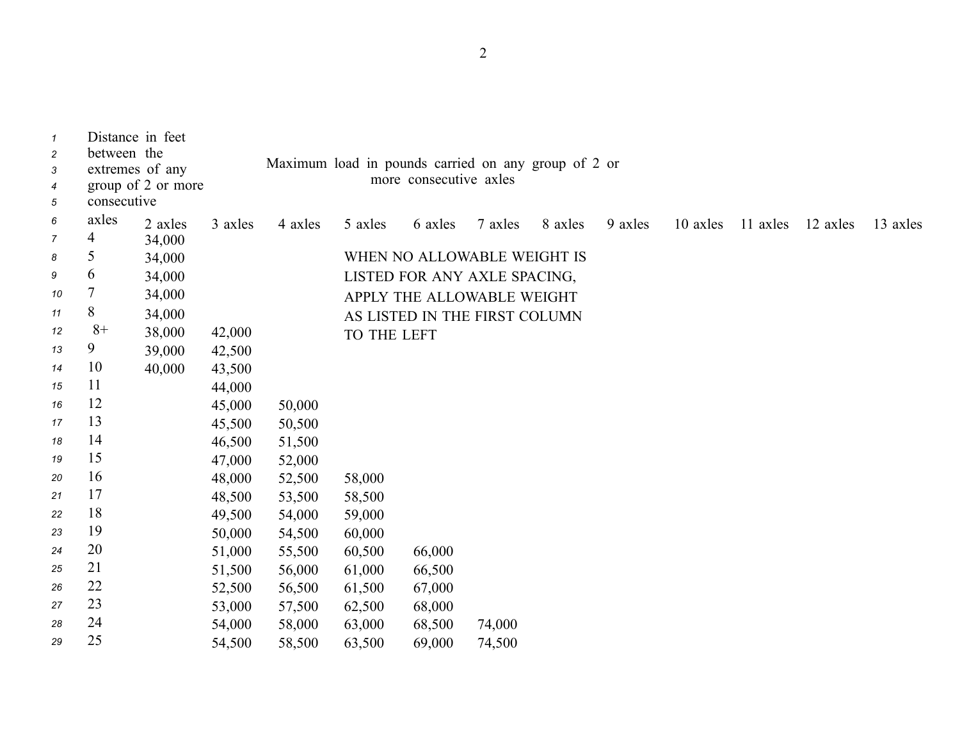| $\mathbf{1}$   | Distance in feet |                    |         |                                                     |             |                               |         |         |         |          |          |          |          |
|----------------|------------------|--------------------|---------|-----------------------------------------------------|-------------|-------------------------------|---------|---------|---------|----------|----------|----------|----------|
| $\overline{c}$ | between the      |                    |         |                                                     |             |                               |         |         |         |          |          |          |          |
| 3              | extremes of any  |                    |         | Maximum load in pounds carried on any group of 2 or |             |                               |         |         |         |          |          |          |          |
| 4              |                  | group of 2 or more |         |                                                     |             | more consecutive axles        |         |         |         |          |          |          |          |
| 5              | consecutive      |                    |         |                                                     |             |                               |         |         |         |          |          |          |          |
| 6              | axles            | 2 axles            | 3 axles | 4 axles                                             | 5 axles     | 6 axles                       | 7 axles | 8 axles | 9 axles | 10 axles | 11 axles | 12 axles | 13 axles |
| $\overline{7}$ | 4                | 34,000             |         |                                                     |             |                               |         |         |         |          |          |          |          |
| 8              | 5                | 34,000             |         |                                                     |             | WHEN NO ALLOWABLE WEIGHT IS   |         |         |         |          |          |          |          |
| 9              | 6                | 34,000             |         |                                                     |             | LISTED FOR ANY AXLE SPACING,  |         |         |         |          |          |          |          |
| 10             | 7                | 34,000             |         |                                                     |             | APPLY THE ALLOWABLE WEIGHT    |         |         |         |          |          |          |          |
| 11             | 8                | 34,000             |         |                                                     |             | AS LISTED IN THE FIRST COLUMN |         |         |         |          |          |          |          |
| 12             | $8+$             | 38,000             | 42,000  |                                                     | TO THE LEFT |                               |         |         |         |          |          |          |          |
| 13             | 9                | 39,000             | 42,500  |                                                     |             |                               |         |         |         |          |          |          |          |
| 14             | 10               | 40,000             | 43,500  |                                                     |             |                               |         |         |         |          |          |          |          |
| 15             | 11               |                    | 44,000  |                                                     |             |                               |         |         |         |          |          |          |          |
| 16             | 12               |                    | 45,000  | 50,000                                              |             |                               |         |         |         |          |          |          |          |
| 17             | 13               |                    | 45,500  | 50,500                                              |             |                               |         |         |         |          |          |          |          |
| 18             | 14               |                    | 46,500  | 51,500                                              |             |                               |         |         |         |          |          |          |          |
| 19             | 15               |                    | 47,000  | 52,000                                              |             |                               |         |         |         |          |          |          |          |
| 20             | 16               |                    | 48,000  | 52,500                                              | 58,000      |                               |         |         |         |          |          |          |          |
| 21             | 17               |                    | 48,500  | 53,500                                              | 58,500      |                               |         |         |         |          |          |          |          |
| 22             | 18               |                    | 49,500  | 54,000                                              | 59,000      |                               |         |         |         |          |          |          |          |
| 23             | 19               |                    | 50,000  | 54,500                                              | 60,000      |                               |         |         |         |          |          |          |          |
| 24             | 20               |                    | 51,000  | 55,500                                              | 60,500      | 66,000                        |         |         |         |          |          |          |          |
| 25             | 21               |                    | 51,500  | 56,000                                              | 61,000      | 66,500                        |         |         |         |          |          |          |          |
| 26             | 22               |                    | 52,500  | 56,500                                              | 61,500      | 67,000                        |         |         |         |          |          |          |          |
| 27             | 23               |                    | 53,000  | 57,500                                              | 62,500      | 68,000                        |         |         |         |          |          |          |          |
| 28             | 24               |                    | 54,000  | 58,000                                              | 63,000      | 68,500                        | 74,000  |         |         |          |          |          |          |
| 29             | 25               |                    | 54,500  | 58,500                                              | 63,500      | 69,000                        | 74,500  |         |         |          |          |          |          |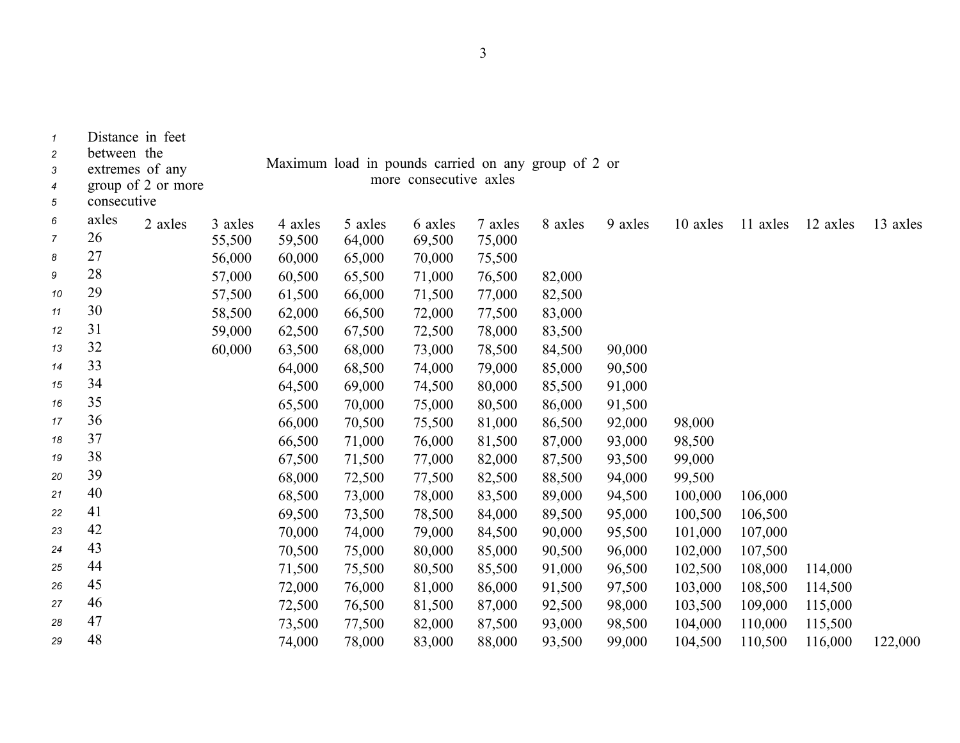| $\boldsymbol{\mathcal{1}}$<br>$\overline{c}$<br>3<br>4<br>5 | Distance in feet<br>between the<br>extremes of any<br>consecutive | group of 2 or more |         |         | Maximum load in pounds carried on any group of 2 or | more consecutive axles |         |         |         |          |          |          |          |
|-------------------------------------------------------------|-------------------------------------------------------------------|--------------------|---------|---------|-----------------------------------------------------|------------------------|---------|---------|---------|----------|----------|----------|----------|
| 6                                                           | axles                                                             | 2 axles            | 3 axles | 4 axles | 5 axles                                             | 6 axles                | 7 axles | 8 axles | 9 axles | 10 axles | 11 axles | 12 axles | 13 axles |
| 7                                                           | 26                                                                |                    | 55,500  | 59,500  | 64,000                                              | 69,500                 | 75,000  |         |         |          |          |          |          |
| 8                                                           | 27                                                                |                    | 56,000  | 60,000  | 65,000                                              | 70,000                 | 75,500  |         |         |          |          |          |          |
| 9                                                           | 28                                                                |                    | 57,000  | 60,500  | 65,500                                              | 71,000                 | 76,500  | 82,000  |         |          |          |          |          |
| 10                                                          | 29                                                                |                    | 57,500  | 61,500  | 66,000                                              | 71,500                 | 77,000  | 82,500  |         |          |          |          |          |
| 11                                                          | 30                                                                |                    | 58,500  | 62,000  | 66,500                                              | 72,000                 | 77,500  | 83,000  |         |          |          |          |          |
| 12                                                          | 31                                                                |                    | 59,000  | 62,500  | 67,500                                              | 72,500                 | 78,000  | 83,500  |         |          |          |          |          |
| 13                                                          | 32                                                                |                    | 60,000  | 63,500  | 68,000                                              | 73,000                 | 78,500  | 84,500  | 90,000  |          |          |          |          |
| 14                                                          | 33                                                                |                    |         | 64,000  | 68,500                                              | 74,000                 | 79,000  | 85,000  | 90,500  |          |          |          |          |
| 15                                                          | 34                                                                |                    |         | 64,500  | 69,000                                              | 74,500                 | 80,000  | 85,500  | 91,000  |          |          |          |          |
| 16                                                          | 35                                                                |                    |         | 65,500  | 70,000                                              | 75,000                 | 80,500  | 86,000  | 91,500  |          |          |          |          |
| 17                                                          | 36                                                                |                    |         | 66,000  | 70,500                                              | 75,500                 | 81,000  | 86,500  | 92,000  | 98,000   |          |          |          |
| 18                                                          | 37                                                                |                    |         | 66,500  | 71,000                                              | 76,000                 | 81,500  | 87,000  | 93,000  | 98,500   |          |          |          |
| 19                                                          | 38                                                                |                    |         | 67,500  | 71,500                                              | 77,000                 | 82,000  | 87,500  | 93,500  | 99,000   |          |          |          |
| 20                                                          | 39                                                                |                    |         | 68,000  | 72,500                                              | 77,500                 | 82,500  | 88,500  | 94,000  | 99,500   |          |          |          |
| 21                                                          | 40                                                                |                    |         | 68,500  | 73,000                                              | 78,000                 | 83,500  | 89,000  | 94,500  | 100,000  | 106,000  |          |          |
| 22                                                          | 41                                                                |                    |         | 69,500  | 73,500                                              | 78,500                 | 84,000  | 89,500  | 95,000  | 100,500  | 106,500  |          |          |
| 23                                                          | 42                                                                |                    |         | 70,000  | 74,000                                              | 79,000                 | 84,500  | 90,000  | 95,500  | 101,000  | 107,000  |          |          |
| 24                                                          | 43                                                                |                    |         | 70,500  | 75,000                                              | 80,000                 | 85,000  | 90,500  | 96,000  | 102,000  | 107,500  |          |          |
| 25                                                          | 44                                                                |                    |         | 71,500  | 75,500                                              | 80,500                 | 85,500  | 91,000  | 96,500  | 102,500  | 108,000  | 114,000  |          |
| 26                                                          | 45                                                                |                    |         | 72,000  | 76,000                                              | 81,000                 | 86,000  | 91,500  | 97,500  | 103,000  | 108,500  | 114,500  |          |
| 27                                                          | 46                                                                |                    |         | 72,500  | 76,500                                              | 81,500                 | 87,000  | 92,500  | 98,000  | 103,500  | 109,000  | 115,000  |          |
| 28                                                          | 47                                                                |                    |         | 73,500  | 77,500                                              | 82,000                 | 87,500  | 93,000  | 98,500  | 104,000  | 110,000  | 115,500  |          |
| 29                                                          | 48                                                                |                    |         | 74,000  | 78,000                                              | 83,000                 | 88,000  | 93,500  | 99,000  | 104,500  | 110,500  | 116,000  | 122,000  |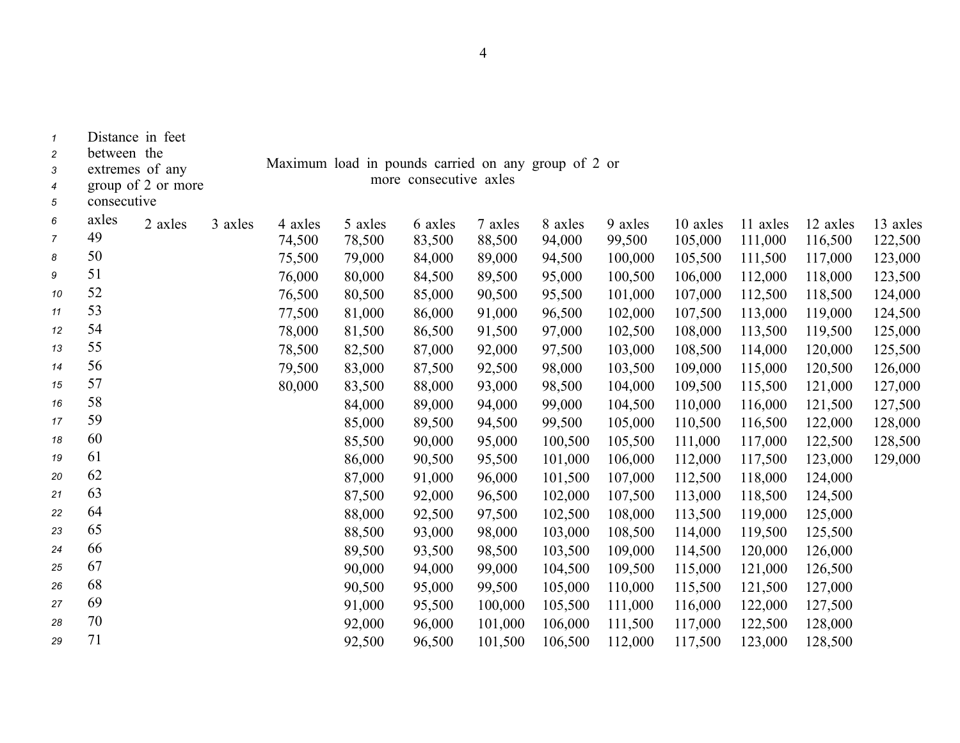| $\mathbf{1}$<br>$\overline{\mathbf{c}}$ | between the | Distance in feet   |         |         |                                                                               |         |         |         |         |          |          |          |          |
|-----------------------------------------|-------------|--------------------|---------|---------|-------------------------------------------------------------------------------|---------|---------|---------|---------|----------|----------|----------|----------|
| 3                                       |             | extremes of any    |         |         | Maximum load in pounds carried on any group of 2 or<br>more consecutive axles |         |         |         |         |          |          |          |          |
| 4                                       |             | group of 2 or more |         |         |                                                                               |         |         |         |         |          |          |          |          |
| 5                                       | consecutive |                    |         |         |                                                                               |         |         |         |         |          |          |          |          |
| 6                                       | axles       | 2 axles            | 3 axles | 4 axles | 5 axles                                                                       | 6 axles | 7 axles | 8 axles | 9 axles | 10 axles | 11 axles | 12 axles | 13 axles |
| $\overline{7}$                          | 49          |                    |         | 74,500  | 78,500                                                                        | 83,500  | 88,500  | 94,000  | 99,500  | 105,000  | 111,000  | 116,500  | 122,500  |
| 8                                       | 50          |                    |         | 75,500  | 79,000                                                                        | 84,000  | 89,000  | 94,500  | 100,000 | 105,500  | 111,500  | 117,000  | 123,000  |
| 9                                       | 51          |                    |         | 76,000  | 80,000                                                                        | 84,500  | 89,500  | 95,000  | 100,500 | 106,000  | 112,000  | 118,000  | 123,500  |
| 10                                      | 52          |                    |         | 76,500  | 80,500                                                                        | 85,000  | 90,500  | 95,500  | 101,000 | 107,000  | 112,500  | 118,500  | 124,000  |
| 11                                      | 53          |                    |         | 77,500  | 81,000                                                                        | 86,000  | 91,000  | 96,500  | 102,000 | 107,500  | 113,000  | 119,000  | 124,500  |
| 12                                      | 54          |                    |         | 78,000  | 81,500                                                                        | 86,500  | 91,500  | 97,000  | 102,500 | 108,000  | 113,500  | 119,500  | 125,000  |
| 13                                      | 55          |                    |         | 78,500  | 82,500                                                                        | 87,000  | 92,000  | 97,500  | 103,000 | 108,500  | 114,000  | 120,000  | 125,500  |
| 14                                      | 56          |                    |         | 79,500  | 83,000                                                                        | 87,500  | 92,500  | 98,000  | 103,500 | 109,000  | 115,000  | 120,500  | 126,000  |
| 15                                      | 57          |                    |         | 80,000  | 83,500                                                                        | 88,000  | 93,000  | 98,500  | 104,000 | 109,500  | 115,500  | 121,000  | 127,000  |
| 16                                      | 58          |                    |         |         | 84,000                                                                        | 89,000  | 94,000  | 99,000  | 104,500 | 110,000  | 116,000  | 121,500  | 127,500  |
| 17                                      | 59          |                    |         |         | 85,000                                                                        | 89,500  | 94,500  | 99,500  | 105,000 | 110,500  | 116,500  | 122,000  | 128,000  |
| 18                                      | 60          |                    |         |         | 85,500                                                                        | 90,000  | 95,000  | 100,500 | 105,500 | 111,000  | 117,000  | 122,500  | 128,500  |
| 19                                      | 61          |                    |         |         | 86,000                                                                        | 90,500  | 95,500  | 101,000 | 106,000 | 112,000  | 117,500  | 123,000  | 129,000  |
| 20                                      | 62          |                    |         |         | 87,000                                                                        | 91,000  | 96,000  | 101,500 | 107,000 | 112,500  | 118,000  | 124,000  |          |
| 21                                      | 63          |                    |         |         | 87,500                                                                        | 92,000  | 96,500  | 102,000 | 107,500 | 113,000  | 118,500  | 124,500  |          |
| 22                                      | 64          |                    |         |         | 88,000                                                                        | 92,500  | 97,500  | 102,500 | 108,000 | 113,500  | 119,000  | 125,000  |          |
| 23                                      | 65          |                    |         |         | 88,500                                                                        | 93,000  | 98,000  | 103,000 | 108,500 | 114,000  | 119,500  | 125,500  |          |
| 24                                      | 66          |                    |         |         | 89,500                                                                        | 93,500  | 98,500  | 103,500 | 109,000 | 114,500  | 120,000  | 126,000  |          |
| 25                                      | 67          |                    |         |         | 90,000                                                                        | 94,000  | 99,000  | 104,500 | 109,500 | 115,000  | 121,000  | 126,500  |          |
| 26                                      | 68          |                    |         |         | 90,500                                                                        | 95,000  | 99,500  | 105,000 | 110,000 | 115,500  | 121,500  | 127,000  |          |
| 27                                      | 69          |                    |         |         | 91,000                                                                        | 95,500  | 100,000 | 105,500 | 111,000 | 116,000  | 122,000  | 127,500  |          |
| 28                                      | 70          |                    |         |         | 92,000                                                                        | 96,000  | 101,000 | 106,000 | 111,500 | 117,000  | 122,500  | 128,000  |          |
| 29                                      | 71          |                    |         |         | 92,500                                                                        | 96,500  | 101,500 | 106,500 | 112,000 | 117,500  | 123,000  | 128,500  |          |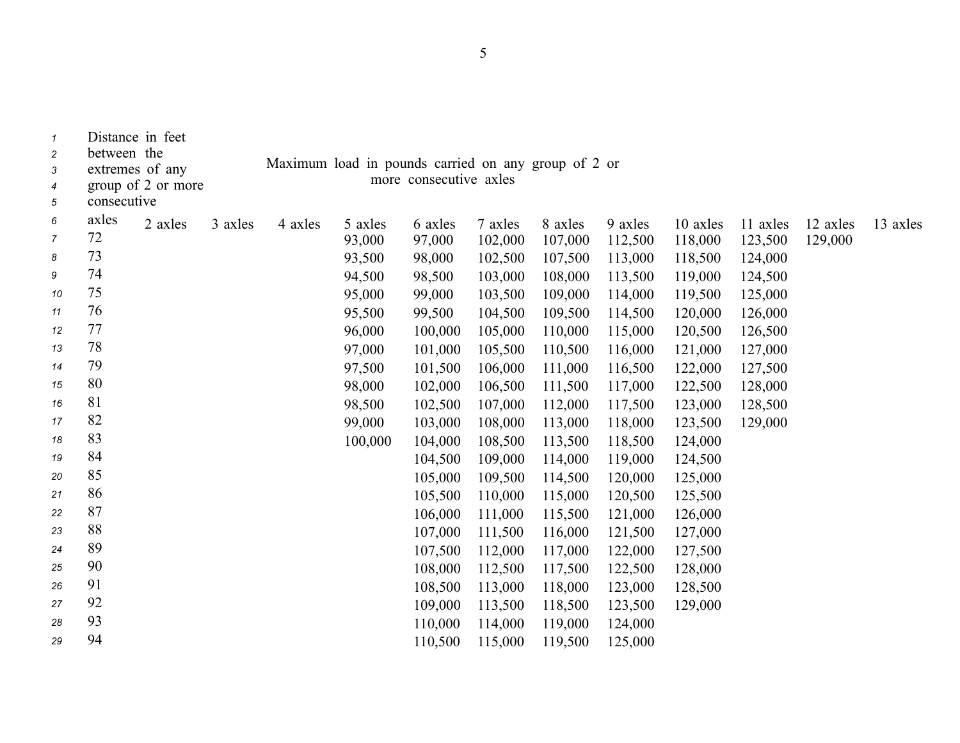| $\overline{c}$<br>3<br>4<br>5 | between the<br>consecutive | extremes of any<br>group of 2 or more |         | Maximum load in pounds carried on any group of 2 or |         | more consecutive axles |         |         |         |          |          |          |          |
|-------------------------------|----------------------------|---------------------------------------|---------|-----------------------------------------------------|---------|------------------------|---------|---------|---------|----------|----------|----------|----------|
| 6                             | axles                      | 2 axles                               | 3 axles | 4 axles                                             | 5 axles | 6 axles                | 7 axles | 8 axles | 9 axles | 10 axles | 11 axles | 12 axles | 13 axles |
| $\overline{7}$                | 72                         |                                       |         |                                                     | 93,000  | 97,000                 | 102,000 | 107,000 | 112,500 | 118,000  | 123,500  | 129,000  |          |
| 8                             | 73                         |                                       |         |                                                     | 93,500  | 98,000                 | 102,500 | 107,500 | 113,000 | 118,500  | 124,000  |          |          |
| 9                             | 74                         |                                       |         |                                                     | 94,500  | 98,500                 | 103,000 | 108,000 | 113,500 | 119,000  | 124,500  |          |          |
| 10                            | 75                         |                                       |         |                                                     | 95,000  | 99,000                 | 103,500 | 109,000 | 114,000 | 119,500  | 125,000  |          |          |
| 11                            | 76                         |                                       |         |                                                     | 95,500  | 99,500                 | 104,500 | 109,500 | 114,500 | 120,000  | 126,000  |          |          |
| 12                            | 77                         |                                       |         |                                                     | 96,000  | 100,000                | 105,000 | 110,000 | 115,000 | 120,500  | 126,500  |          |          |
| 13                            | 78                         |                                       |         |                                                     | 97,000  | 101,000                | 105,500 | 110,500 | 116,000 | 121,000  | 127,000  |          |          |
| 14                            | 79                         |                                       |         |                                                     | 97,500  | 101,500                | 106,000 | 111,000 | 116,500 | 122,000  | 127,500  |          |          |
| 15                            | 80                         |                                       |         |                                                     | 98,000  | 102,000                | 106,500 | 111,500 | 117,000 | 122,500  | 128,000  |          |          |
| 16                            | 81                         |                                       |         |                                                     | 98,500  | 102,500                | 107,000 | 112,000 | 117,500 | 123,000  | 128,500  |          |          |
| 17                            | 82                         |                                       |         |                                                     | 99,000  | 103,000                | 108,000 | 113,000 | 118,000 | 123,500  | 129,000  |          |          |
| 18                            | 83                         |                                       |         |                                                     | 100,000 | 104,000                | 108,500 | 113,500 | 118,500 | 124,000  |          |          |          |
| 19                            | 84                         |                                       |         |                                                     |         | 104,500                | 109,000 | 114,000 | 119,000 | 124,500  |          |          |          |
| 20                            | 85                         |                                       |         |                                                     |         | 105,000                | 109,500 | 114,500 | 120,000 | 125,000  |          |          |          |
| 21                            | 86                         |                                       |         |                                                     |         | 105,500                | 110,000 | 115,000 | 120,500 | 125,500  |          |          |          |
| 22                            | 87                         |                                       |         |                                                     |         | 106,000                | 111,000 | 115,500 | 121,000 | 126,000  |          |          |          |
| 23                            | 88                         |                                       |         |                                                     |         | 107,000                | 111,500 | 116,000 | 121,500 | 127,000  |          |          |          |
| 24                            | 89                         |                                       |         |                                                     |         | 107,500                | 112,000 | 117,000 | 122,000 | 127,500  |          |          |          |
| 25                            | 90                         |                                       |         |                                                     |         | 108,000                | 112,500 | 117,500 | 122,500 | 128,000  |          |          |          |
| 26                            | 91                         |                                       |         |                                                     |         | 108,500                | 113,000 | 118,000 | 123,000 | 128,500  |          |          |          |
| 27                            | 92                         |                                       |         |                                                     |         | 109,000                | 113,500 | 118,500 | 123,500 | 129,000  |          |          |          |
| 28                            | 93                         |                                       |         |                                                     |         | 110,000                | 114,000 | 119,000 | 124,000 |          |          |          |          |
| 29                            | 94                         |                                       |         |                                                     |         | 110,500                | 115,000 | 119,500 | 125,000 |          |          |          |          |

*<sup>1</sup>* Distance in feet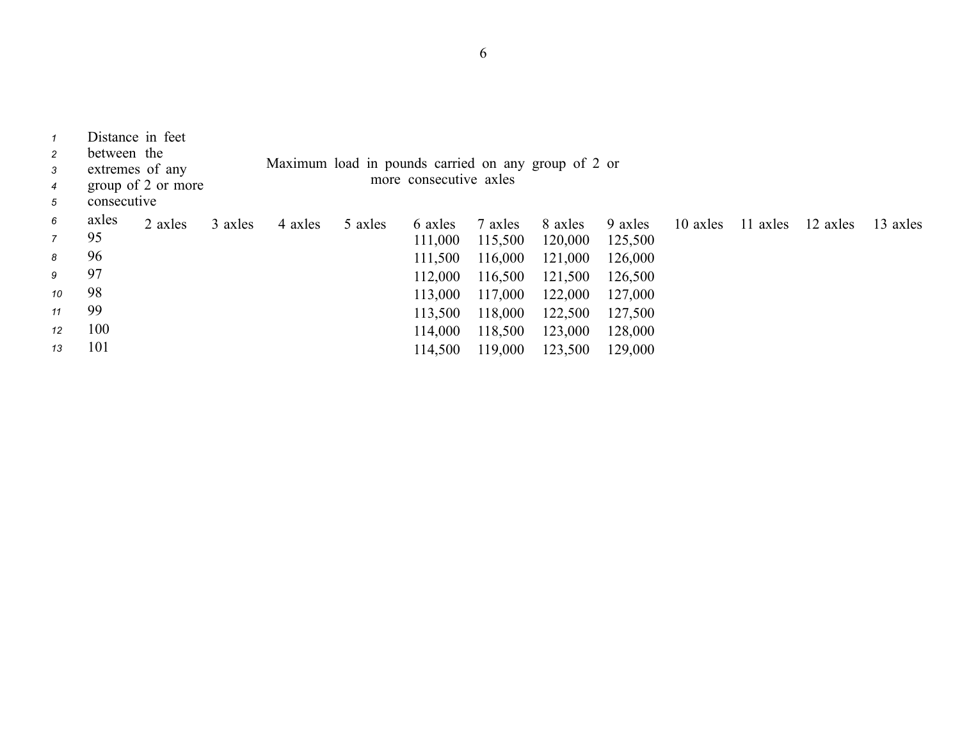| $\mathcal I$<br>$\overline{2}$<br>3<br>$\overline{4}$<br>5 | Distance in feet<br>between the<br>extremes of any<br>consecutive | group of 2 or more |         | Maximum load in pounds carried on any group of 2 or |         | more consecutive axles |         |         |         |          |          |          |          |
|------------------------------------------------------------|-------------------------------------------------------------------|--------------------|---------|-----------------------------------------------------|---------|------------------------|---------|---------|---------|----------|----------|----------|----------|
| 6                                                          | axles                                                             | 2 axles            | 3 axles | 4 axles                                             | 5 axles | 6 axles                | 7 axles | 8 axles | 9 axles | 10 axles | 11 axles | 12 axles | 13 axles |
| $\overline{7}$                                             | 95                                                                |                    |         |                                                     |         | 111,000                | 115,500 | 120,000 | 125,500 |          |          |          |          |
| 8                                                          | 96                                                                |                    |         |                                                     |         | 111,500                | 116,000 | 121,000 | 126,000 |          |          |          |          |
| 9                                                          | 97                                                                |                    |         |                                                     |         | 112,000                | 116,500 | 121,500 | 126,500 |          |          |          |          |
| 10                                                         | 98                                                                |                    |         |                                                     |         | 113,000                | 117,000 | 122,000 | 127,000 |          |          |          |          |
| 11                                                         | 99                                                                |                    |         |                                                     |         | 113,500                | 118,000 | 122,500 | 127,500 |          |          |          |          |
| 12                                                         | 100                                                               |                    |         |                                                     |         | 114,000                | 118,500 | 123,000 | 128,000 |          |          |          |          |
| 13                                                         | 101                                                               |                    |         |                                                     |         | 114,500                | 119,000 | 123,500 | 129,000 |          |          |          |          |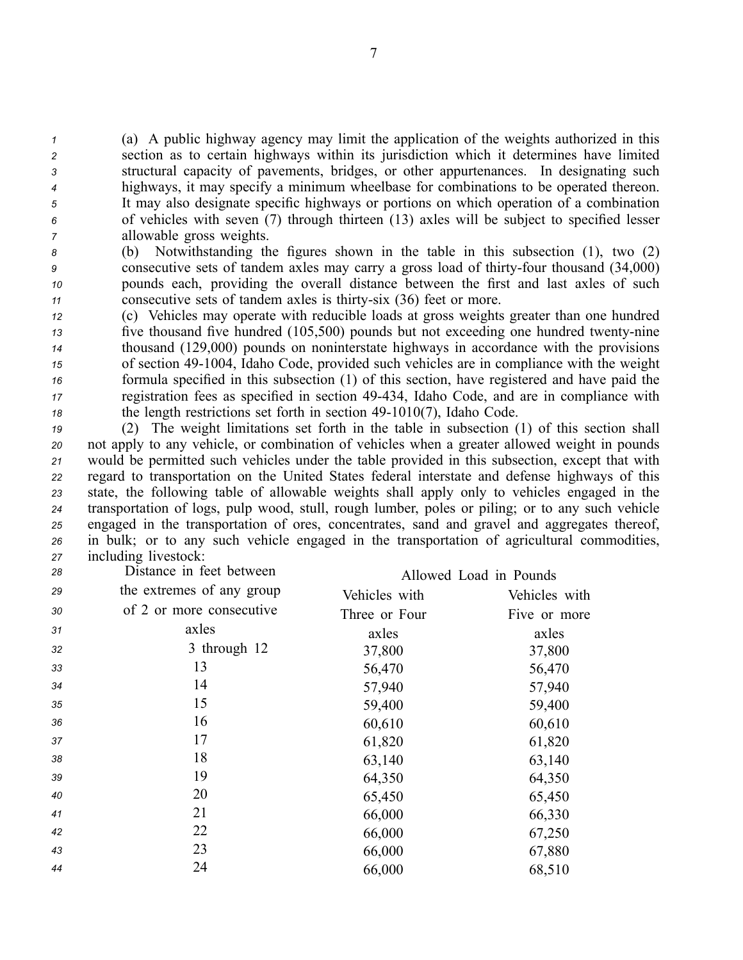(a) A public highway agency may limit the application of the weights authorized in this section as to certain highways within its jurisdiction which it determines have limited structural capacity of pavements, bridges, or other appurtenances. In designating such highways, it may specify <sup>a</sup> minimum wheelbase for combinations to be operated thereon. It may also designate specific highways or portions on which operation of <sup>a</sup> combination of vehicles with seven (7) through thirteen (13) axles will be subject to specified lesser allowable gross weights.

 (b) Notwithstanding the figures shown in the table in this subsection (1), two (2) consecutive sets of tandem axles may carry <sup>a</sup> gross load of thirtyfour thousand (34,000) pounds each, providing the overall distance between the first and last axles of such 11 consecutive sets of tandem axles is thirty-six (36) feet or more.

 (c) Vehicles may operate with reducible loads at gross weights greater than one hundred five thousand five hundred (105,500) pounds but not exceeding one hundred twenty-nine thousand (129,000) pounds on noninterstate highways in accordance with the provisions <sup>15</sup> of section 49-1004, Idaho Code, provided such vehicles are in compliance with the weight formula specified in this subsection (1) of this section, have registered and have paid the registration fees as specified in section 49434, Idaho Code, and are in compliance with the length restrictions set forth in section 49-1010(7), Idaho Code.

 (2) The weight limitations set forth in the table in subsection (1) of this section shall not apply to any vehicle, or combination of vehicles when <sup>a</sup> greater allowed weight in pounds would be permitted such vehicles under the table provided in this subsection, excep<sup>t</sup> that with regard to transportation on the United States federal interstate and defense highways of this state, the following table of allowable weights shall apply only to vehicles engaged in the transportation of logs, pulp wood, stull, rough lumber, poles or piling; or to any such vehicle engaged in the transportation of ores, concentrates, sand and gravel and aggregates thereof, in bulk; or to any such vehicle engaged in the transportation of agricultural commodities, including livestock:

| 28 | Distance in feet between  |               | Allowed Load in Pounds |
|----|---------------------------|---------------|------------------------|
| 29 | the extremes of any group | Vehicles with | Vehicles with          |
| 30 | of 2 or more consecutive  | Three or Four | Five or more           |
| 31 | axles                     | axles         | axles                  |
| 32 | 3 through 12              | 37,800        | 37,800                 |
| 33 | 13                        | 56,470        | 56,470                 |
| 34 | 14                        | 57,940        | 57,940                 |
| 35 | 15                        | 59,400        | 59,400                 |
| 36 | 16                        | 60,610        | 60,610                 |
| 37 | 17                        | 61,820        | 61,820                 |
| 38 | 18                        | 63,140        | 63,140                 |
| 39 | 19                        | 64,350        | 64,350                 |
| 40 | 20                        | 65,450        | 65,450                 |
| 41 | 21                        | 66,000        | 66,330                 |
| 42 | 22                        | 66,000        | 67,250                 |
| 43 | 23                        | 66,000        | 67,880                 |
| 44 | 24                        | 66,000        | 68,510                 |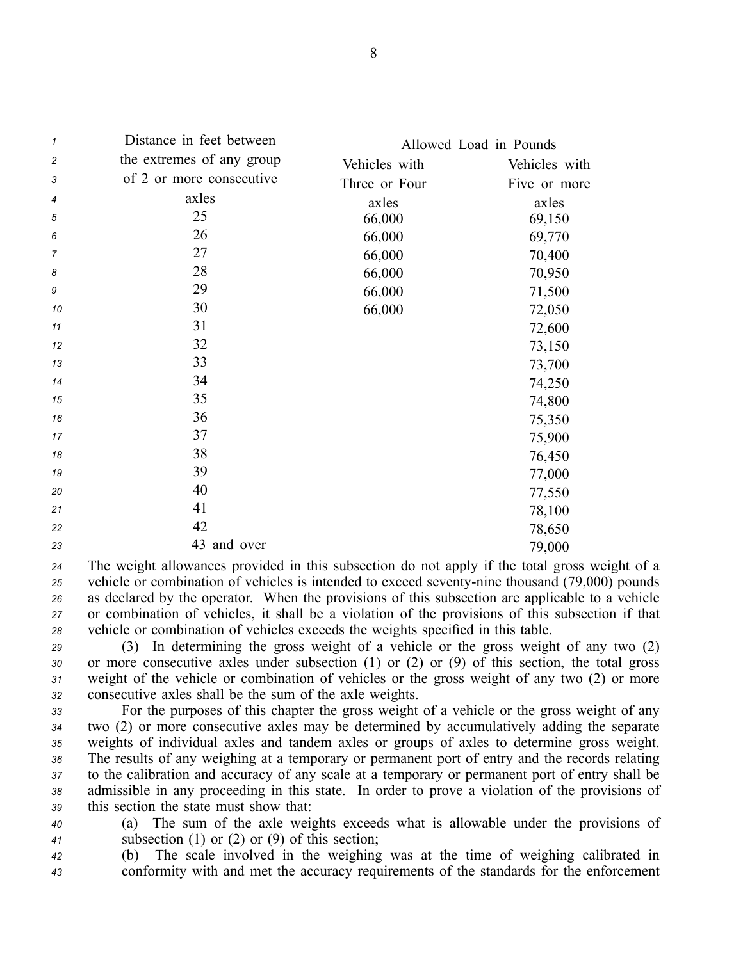| 1  | Distance in feet between  | Allowed Load in Pounds |               |
|----|---------------------------|------------------------|---------------|
| 2  | the extremes of any group | Vehicles with          | Vehicles with |
| 3  | of 2 or more consecutive  | Three or Four          | Five or more  |
| 4  | axles                     | axles                  | axles         |
| 5  | 25                        | 66,000                 | 69,150        |
| 6  | 26                        | 66,000                 | 69,770        |
| 7  | 27                        | 66,000                 | 70,400        |
| 8  | 28                        | 66,000                 | 70,950        |
| 9  | 29                        | 66,000                 | 71,500        |
| 10 | 30                        | 66,000                 | 72,050        |
| 11 | 31                        |                        | 72,600        |
| 12 | 32                        |                        | 73,150        |
| 13 | 33                        |                        | 73,700        |
| 14 | 34                        |                        | 74,250        |
| 15 | 35                        |                        | 74,800        |
| 16 | 36                        |                        | 75,350        |
| 17 | 37                        |                        | 75,900        |
| 18 | 38                        |                        | 76,450        |
| 19 | 39                        |                        | 77,000        |
| 20 | 40                        |                        | 77,550        |
| 21 | 41                        |                        | 78,100        |
| 22 | 42                        |                        | 78,650        |
| 23 | 43 and over               |                        | 79,000        |

 The weight allowances provided in this subsection do not apply if the total gross weight of <sup>a</sup> vehicle or combination of vehicles is intended to exceed seventy-nine thousand (79,000) pounds as declared by the operator. When the provisions of this subsection are applicable to <sup>a</sup> vehicle or combination of vehicles, it shall be <sup>a</sup> violation of the provisions of this subsection if that vehicle or combination of vehicles exceeds the weights specified in this table.

 (3) In determining the gross weight of <sup>a</sup> vehicle or the gross weight of any two (2) or more consecutive axles under subsection (1) or (2) or (9) of this section, the total gross weight of the vehicle or combination of vehicles or the gross weight of any two (2) or more consecutive axles shall be the sum of the axle weights.

 For the purposes of this chapter the gross weight of <sup>a</sup> vehicle or the gross weight of any two (2) or more consecutive axles may be determined by accumulatively adding the separate weights of individual axles and tandem axles or groups of axles to determine gross weight. The results of any weighing at <sup>a</sup> temporary or permanen<sup>t</sup> por<sup>t</sup> of entry and the records relating to the calibration and accuracy of any scale at <sup>a</sup> temporary or permanen<sup>t</sup> por<sup>t</sup> of entry shall be admissible in any proceeding in this state. In order to prove <sup>a</sup> violation of the provisions of this section the state must show that:

*<sup>40</sup>* (a) The sum of the axle weights exceeds what is allowable under the provisions of *<sup>41</sup>* subsection (1) or (2) or (9) of this section;

*<sup>42</sup>* (b) The scale involved in the weighing was at the time of weighing calibrated in *<sup>43</sup>* conformity with and met the accuracy requirements of the standards for the enforcement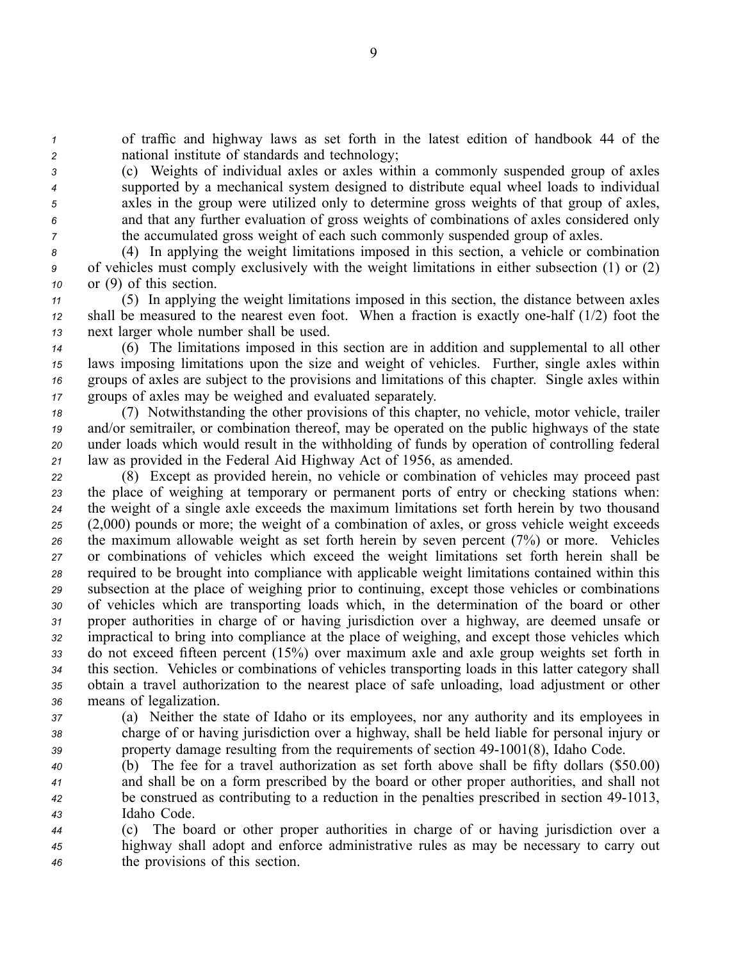*<sup>1</sup>* of traffic and highway laws as set forth in the latest edition of handbook 44 of the *<sup>2</sup>* national institute of standards and technology;

 (c) Weights of individual axles or axles within <sup>a</sup> commonly suspended group of axles supported by <sup>a</sup> mechanical system designed to distribute equal wheel loads to individual axles in the group were utilized only to determine gross weights of that group of axles, and that any further evaluation of gross weights of combinations of axles considered only the accumulated gross weight of each such commonly suspended group of axles.

*<sup>8</sup>* (4) In applying the weight limitations imposed in this section, <sup>a</sup> vehicle or combination *<sup>9</sup>* of vehicles must comply exclusively with the weight limitations in either subsection (1) or (2) *<sup>10</sup>* or (9) of this section.

*<sup>11</sup>* (5) In applying the weight limitations imposed in this section, the distance between axles *<sup>12</sup>* shall be measured to the nearest even foot. When <sup>a</sup> fraction is exactly onehalf (1/2) foot the *<sup>13</sup>* next larger whole number shall be used.

 (6) The limitations imposed in this section are in addition and supplemental to all other laws imposing limitations upon the size and weight of vehicles. Further, single axles within groups of axles are subject to the provisions and limitations of this chapter. Single axles within groups of axles may be weighed and evaluated separately.

 (7) Notwithstanding the other provisions of this chapter, no vehicle, motor vehicle, trailer and/or semitrailer, or combination thereof, may be operated on the public highways of the state under loads which would result in the withholding of funds by operation of controlling federal law as provided in the Federal Aid Highway Act of 1956, as amended.

 (8) Except as provided herein, no vehicle or combination of vehicles may proceed pas<sup>t</sup> the place of weighing at temporary or permanen<sup>t</sup> ports of entry or checking stations when: the weight of <sup>a</sup> single axle exceeds the maximum limitations set forth herein by two thousand (2,000) pounds or more; the weight of <sup>a</sup> combination of axles, or gross vehicle weight exceeds the maximum allowable weight as set forth herein by seven percen<sup>t</sup> (7%) or more. Vehicles or combinations of vehicles which exceed the weight limitations set forth herein shall be required to be brought into compliance with applicable weight limitations contained within this subsection at the place of weighing prior to continuing, excep<sup>t</sup> those vehicles or combinations of vehicles which are transporting loads which, in the determination of the board or other proper authorities in charge of or having jurisdiction over <sup>a</sup> highway, are deemed unsafe or impractical to bring into compliance at the place of weighing, and excep<sup>t</sup> those vehicles which do not exceed fifteen percen<sup>t</sup> (15%) over maximum axle and axle group weights set forth in this section. Vehicles or combinations of vehicles transporting loads in this latter category shall obtain <sup>a</sup> travel authorization to the nearest place of safe unloading, load adjustment or other means of legalization.

*<sup>37</sup>* (a) Neither the state of Idaho or its employees, nor any authority and its employees in *<sup>38</sup>* charge of or having jurisdiction over <sup>a</sup> highway, shall be held liable for personal injury or 39 property damage resulting from the requirements of section 49-1001(8), Idaho Code.

 (b) The fee for <sup>a</sup> travel authorization as set forth above shall be fifty dollars (\$50.00) and shall be on <sup>a</sup> form prescribed by the board or other proper authorities, and shall not <sup>42</sup> be construed as contributing to a reduction in the penalties prescribed in section 49-1013, Idaho Code.

*<sup>44</sup>* (c) The board or other proper authorities in charge of or having jurisdiction over <sup>a</sup> *<sup>45</sup>* highway shall adopt and enforce administrative rules as may be necessary to carry out *<sup>46</sup>* the provisions of this section.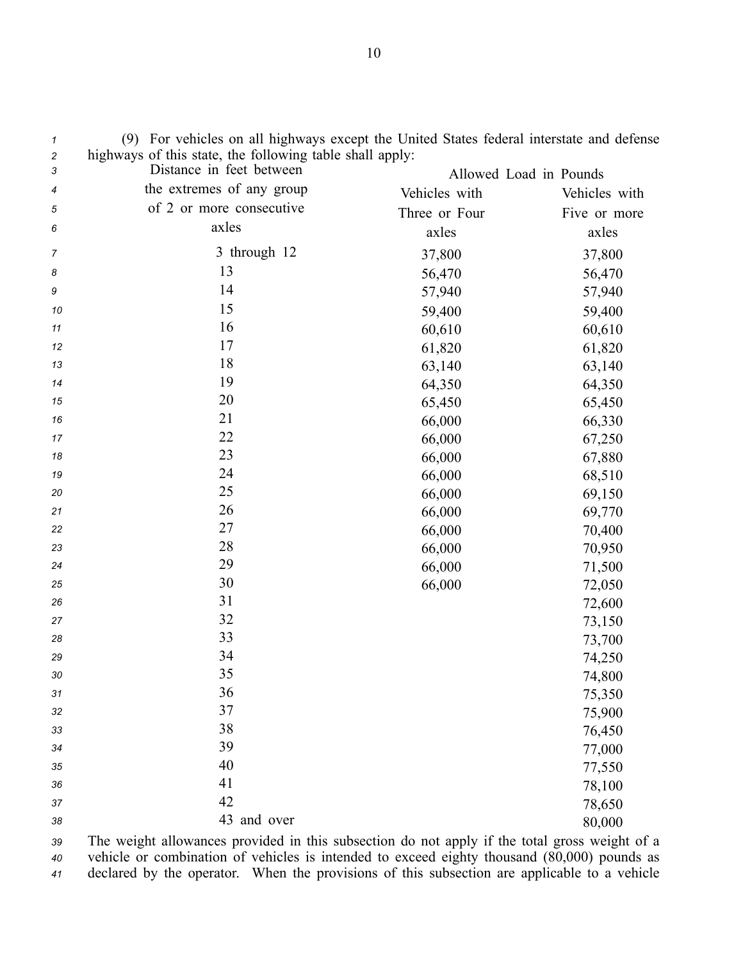| $\overline{\mathbf{c}}$<br>3 | highways of this state, the following table shall apply:<br>Distance in feet between |                        |               |
|------------------------------|--------------------------------------------------------------------------------------|------------------------|---------------|
| 4                            | the extremes of any group                                                            | Allowed Load in Pounds |               |
|                              | of 2 or more consecutive                                                             | Vehicles with          | Vehicles with |
| 5                            | axles                                                                                | Three or Four          | Five or more  |
| 6                            |                                                                                      | axles                  | axles         |
| $\overline{7}$               | 3 through 12                                                                         | 37,800                 | 37,800        |
| 8                            | 13                                                                                   | 56,470                 | 56,470        |
| 9                            | 14                                                                                   | 57,940                 | 57,940        |
| 10                           | 15                                                                                   | 59,400                 | 59,400        |
| 11                           | 16                                                                                   | 60,610                 | 60,610        |
| 12                           | 17                                                                                   | 61,820                 | 61,820        |
| 13                           | 18                                                                                   | 63,140                 | 63,140        |
| 14                           | 19                                                                                   | 64,350                 | 64,350        |
| 15                           | 20                                                                                   | 65,450                 | 65,450        |
| 16                           | 21                                                                                   | 66,000                 | 66,330        |
| 17                           | 22                                                                                   | 66,000                 | 67,250        |
| 18                           | 23                                                                                   | 66,000                 | 67,880        |
| 19                           | 24                                                                                   | 66,000                 | 68,510        |
| 20                           | 25                                                                                   | 66,000                 | 69,150        |
| 21                           | 26                                                                                   | 66,000                 | 69,770        |
| 22                           | 27                                                                                   | 66,000                 | 70,400        |
| 23                           | 28                                                                                   | 66,000                 | 70,950        |
| 24                           | 29                                                                                   | 66,000                 | 71,500        |
| 25                           | 30                                                                                   | 66,000                 | 72,050        |
| 26                           | 31                                                                                   |                        | 72,600        |
| 27                           | 32                                                                                   |                        | 73,150        |
| 28                           | 33                                                                                   |                        | 73,700        |
| 29                           | 34                                                                                   |                        | 74,250        |
| 30                           | 35                                                                                   |                        | 74,800        |
| 31                           | 36                                                                                   |                        | 75,350        |
| 32                           | 37                                                                                   |                        | 75,900        |
| 33                           | 38                                                                                   |                        | 76,450        |
| 34                           | 39                                                                                   |                        | 77,000        |
| 35                           | 40                                                                                   |                        | 77,550        |
| 36                           | 41                                                                                   |                        | 78,100        |
| 37                           | 42                                                                                   |                        | 78,650        |
| 38                           | 43 and over                                                                          |                        | 80,000        |

*<sup>1</sup>* (9) For vehicles on all highways excep<sup>t</sup> the United States federal interstate and defense *<sup>2</sup>* highways of this state, the following table shall apply:

*<sup>39</sup>* The weight allowances provided in this subsection do not apply if the total gross weight of <sup>a</sup> *<sup>40</sup>* vehicle or combination of vehicles is intended to exceed eighty thousand (80,000) pounds as *<sup>41</sup>* declared by the operator. When the provisions of this subsection are applicable to <sup>a</sup> vehicle